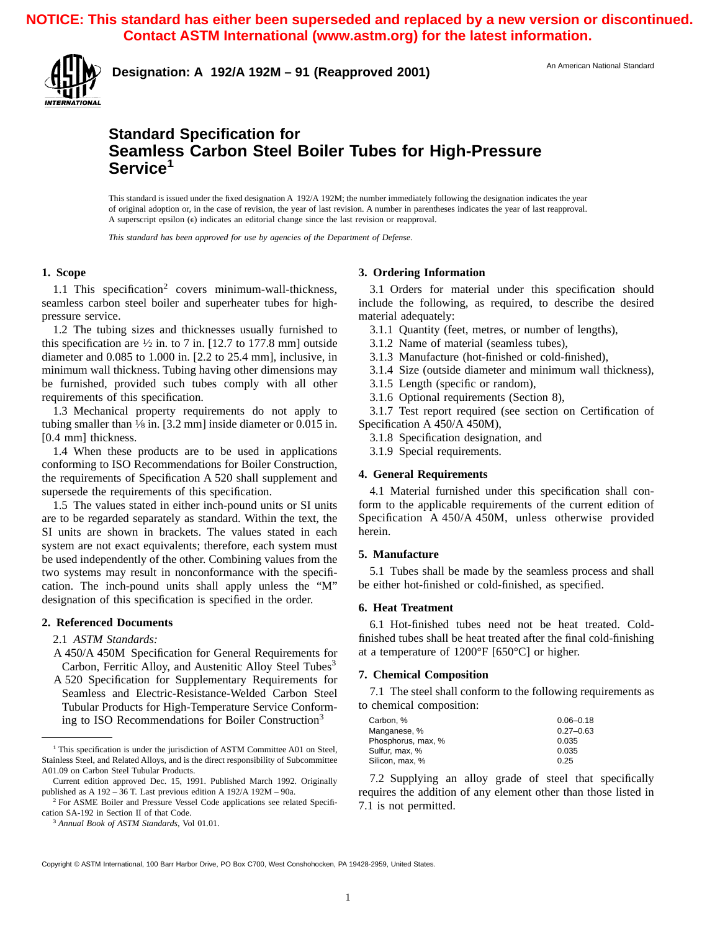**NOTICE: This standard has either been superseded and replaced by a new version or discontinued. Contact ASTM International (www.astm.org) for the latest information.** 



**Designation: A 192/A 192M – 91 (Reapproved 2001)** An American National Standard

## **Standard Specification for Seamless Carbon Steel Boiler Tubes for High-Pressure Service<sup>1</sup>**

This standard is issued under the fixed designation A 192/A 192M; the number immediately following the designation indicates the year of original adoption or, in the case of revision, the year of last revision. A number in parentheses indicates the year of last reapproval. A superscript epsilon (e) indicates an editorial change since the last revision or reapproval.

*This standard has been approved for use by agencies of the Department of Defense.*

### **1. Scope**

1.1 This specification<sup>2</sup> covers minimum-wall-thickness, seamless carbon steel boiler and superheater tubes for highpressure service.

1.2 The tubing sizes and thicknesses usually furnished to this specification are  $\frac{1}{2}$  in. to 7 in. [12.7 to 177.8 mm] outside diameter and 0.085 to 1.000 in. [2.2 to 25.4 mm], inclusive, in minimum wall thickness. Tubing having other dimensions may be furnished, provided such tubes comply with all other requirements of this specification.

1.3 Mechanical property requirements do not apply to tubing smaller than  $\frac{1}{8}$  in. [3.2 mm] inside diameter or 0.015 in. [0.4 mm] thickness.

1.4 When these products are to be used in applications conforming to ISO Recommendations for Boiler Construction, the requirements of Specification A 520 shall supplement and supersede the requirements of this specification.

1.5 The values stated in either inch-pound units or SI units are to be regarded separately as standard. Within the text, the SI units are shown in brackets. The values stated in each system are not exact equivalents; therefore, each system must be used independently of the other. Combining values from the two systems may result in nonconformance with the specification. The inch-pound units shall apply unless the "M" designation of this specification is specified in the order.

### **2. Referenced Documents**

2.1 *ASTM Standards:*

- A 450/A 450M Specification for General Requirements for Carbon, Ferritic Alloy, and Austenitic Alloy Steel Tubes<sup>3</sup>
- A 520 Specification for Supplementary Requirements for Seamless and Electric-Resistance-Welded Carbon Steel Tubular Products for High-Temperature Service Conforming to ISO Recommendations for Boiler Construction3

### **3. Ordering Information**

3.1 Orders for material under this specification should include the following, as required, to describe the desired material adequately:

3.1.1 Quantity (feet, metres, or number of lengths),

3.1.2 Name of material (seamless tubes),

- 3.1.3 Manufacture (hot-finished or cold-finished),
- 3.1.4 Size (outside diameter and minimum wall thickness),
- 3.1.5 Length (specific or random),
- 3.1.6 Optional requirements (Section 8),

3.1.7 Test report required (see section on Certification of Specification A 450/A 450M),

3.1.8 Specification designation, and

3.1.9 Special requirements.

### **4. General Requirements**

4.1 Material furnished under this specification shall conform to the applicable requirements of the current edition of Specification A 450/A 450M, unless otherwise provided herein.

### **5. Manufacture**

5.1 Tubes shall be made by the seamless process and shall be either hot-finished or cold-finished, as specified.

### **6. Heat Treatment**

6.1 Hot-finished tubes need not be heat treated. Coldfinished tubes shall be heat treated after the final cold-finishing at a temperature of 1200°F [650°C] or higher.

### **7. Chemical Composition**

7.1 The steel shall conform to the following requirements as to chemical composition:

| Carbon, %          | $0.06 - 0.18$ |
|--------------------|---------------|
| Manganese, %       | $0.27 - 0.63$ |
| Phosphorus, max, % | 0.035         |
| Sulfur. max. %     | 0.035         |
| Silicon, max, %    | 0.25          |
|                    |               |

7.2 Supplying an alloy grade of steel that specifically requires the addition of any element other than those listed in 7.1 is not permitted.

<sup>&</sup>lt;sup>1</sup> This specification is under the jurisdiction of ASTM Committee A01 on Steel, Stainless Steel, and Related Alloys, and is the direct responsibility of Subcommittee A01.09 on Carbon Steel Tubular Products.

Current edition approved Dec. 15, 1991. Published March 1992. Originally published as A 192 – 36 T. Last previous edition A 192/A 192M – 90a.

<sup>&</sup>lt;sup>2</sup> For ASME Boiler and Pressure Vessel Code applications see related Specification SA-192 in Section II of that Code.

<sup>3</sup> *Annual Book of ASTM Standards*, Vol 01.01.

Copyright © ASTM International, 100 Barr Harbor Drive, PO Box C700, West Conshohocken, PA 19428-2959, United States.